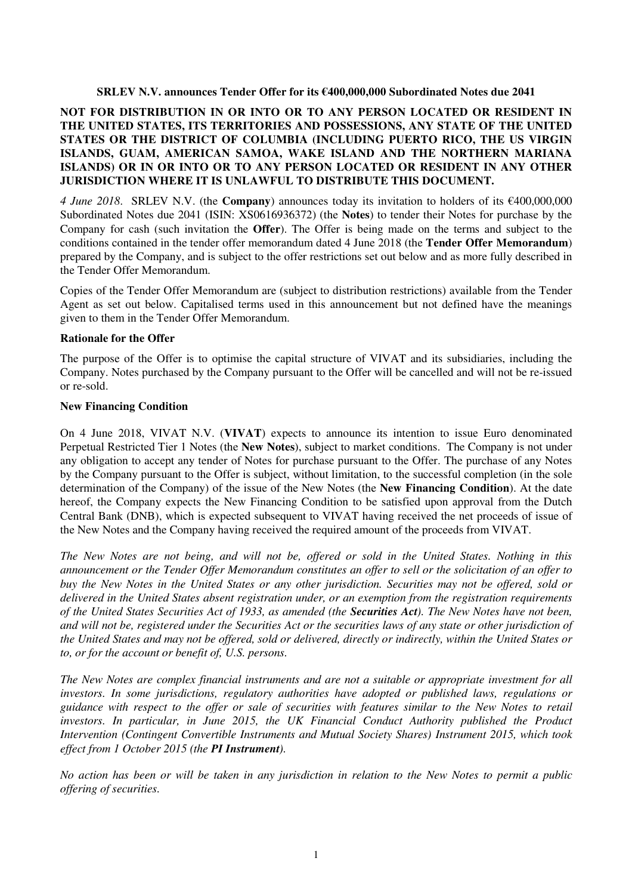### **SRLEV N.V. announces Tender Offer for its €400,000,000 Subordinated Notes due 2041**

**NOT FOR DISTRIBUTION IN OR INTO OR TO ANY PERSON LOCATED OR RESIDENT IN THE UNITED STATES, ITS TERRITORIES AND POSSESSIONS, ANY STATE OF THE UNITED STATES OR THE DISTRICT OF COLUMBIA (INCLUDING PUERTO RICO, THE US VIRGIN ISLANDS, GUAM, AMERICAN SAMOA, WAKE ISLAND AND THE NORTHERN MARIANA ISLANDS) OR IN OR INTO OR TO ANY PERSON LOCATED OR RESIDENT IN ANY OTHER JURISDICTION WHERE IT IS UNLAWFUL TO DISTRIBUTE THIS DOCUMENT.** 

*4 June 2018*. SRLEV N.V. (the **Company**) announces today its invitation to holders of its €400,000,000 Subordinated Notes due 2041 (ISIN: XS0616936372) (the **Notes**) to tender their Notes for purchase by the Company for cash (such invitation the **Offer**). The Offer is being made on the terms and subject to the conditions contained in the tender offer memorandum dated 4 June 2018 (the **Tender Offer Memorandum**) prepared by the Company, and is subject to the offer restrictions set out below and as more fully described in the Tender Offer Memorandum.

Copies of the Tender Offer Memorandum are (subject to distribution restrictions) available from the Tender Agent as set out below. Capitalised terms used in this announcement but not defined have the meanings given to them in the Tender Offer Memorandum.

#### **Rationale for the Offer**

The purpose of the Offer is to optimise the capital structure of VIVAT and its subsidiaries, including the Company. Notes purchased by the Company pursuant to the Offer will be cancelled and will not be re-issued or re-sold.

### **New Financing Condition**

On 4 June 2018, VIVAT N.V. (**VIVAT**) expects to announce its intention to issue Euro denominated Perpetual Restricted Tier 1 Notes (the **New Notes**), subject to market conditions. The Company is not under any obligation to accept any tender of Notes for purchase pursuant to the Offer. The purchase of any Notes by the Company pursuant to the Offer is subject, without limitation, to the successful completion (in the sole determination of the Company) of the issue of the New Notes (the **New Financing Condition**). At the date hereof, the Company expects the New Financing Condition to be satisfied upon approval from the Dutch Central Bank (DNB), which is expected subsequent to VIVAT having received the net proceeds of issue of the New Notes and the Company having received the required amount of the proceeds from VIVAT.

*The New Notes are not being, and will not be, offered or sold in the United States. Nothing in this announcement or the Tender Offer Memorandum constitutes an offer to sell or the solicitation of an offer to buy the New Notes in the United States or any other jurisdiction. Securities may not be offered, sold or delivered in the United States absent registration under, or an exemption from the registration requirements of the United States Securities Act of 1933, as amended (the Securities Act). The New Notes have not been, and will not be, registered under the Securities Act or the securities laws of any state or other jurisdiction of the United States and may not be offered, sold or delivered, directly or indirectly, within the United States or to, or for the account or benefit of, U.S. persons.*

*The New Notes are complex financial instruments and are not a suitable or appropriate investment for all investors. In some jurisdictions, regulatory authorities have adopted or published laws, regulations or guidance with respect to the offer or sale of securities with features similar to the New Notes to retail investors. In particular, in June 2015, the UK Financial Conduct Authority published the Product Intervention (Contingent Convertible Instruments and Mutual Society Shares) Instrument 2015, which took effect from 1 October 2015 (the PI Instrument).* 

*No action has been or will be taken in any jurisdiction in relation to the New Notes to permit a public offering of securities.*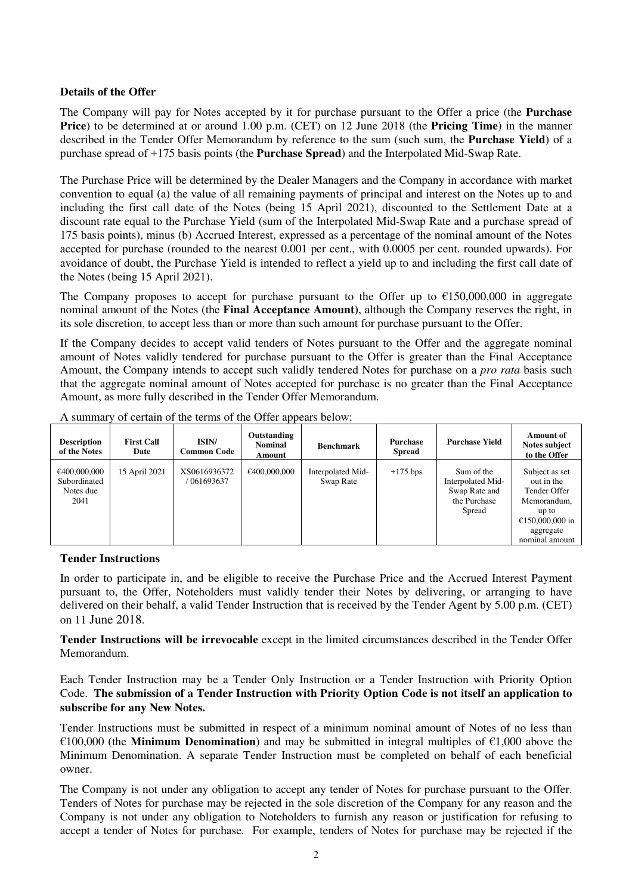# **Details of the Offer**

The Company will pay for Notes accepted by it for purchase pursuant to the Offer a price (the **Purchase Price**) to be determined at or around 1.00 p.m. (CET) on 12 June 2018 (the **Pricing Time**) in the manner described in the Tender Offer Memorandum by reference to the sum (such sum, the **Purchase Yield**) of a purchase spread of +175 basis points (the **Purchase Spread**) and the Interpolated Mid-Swap Rate.

The Purchase Price will be determined by the Dealer Managers and the Company in accordance with market convention to equal (a) the value of all remaining payments of principal and interest on the Notes up to and including the first call date of the Notes (being 15 April 2021), discounted to the Settlement Date at a discount rate equal to the Purchase Yield (sum of the Interpolated Mid-Swap Rate and a purchase spread of 175 basis points), minus (b) Accrued Interest, expressed as a percentage of the nominal amount of the Notes accepted for purchase (rounded to the nearest 0.001 per cent., with 0.0005 per cent. rounded upwards). For avoidance of doubt, the Purchase Yield is intended to reflect a yield up to and including the first call date of the Notes (being 15 April 2021).

The Company proposes to accept for purchase pursuant to the Offer up to  $\epsilon$ 150,000,000 in aggregate nominal amount of the Notes (the **Final Acceptance Amount)**, although the Company reserves the right, in its sole discretion, to accept less than or more than such amount for purchase pursuant to the Offer.

If the Company decides to accept valid tenders of Notes pursuant to the Offer and the aggregate nominal amount of Notes validly tendered for purchase pursuant to the Offer is greater than the Final Acceptance Amount, the Company intends to accept such validly tendered Notes for purchase on a *pro rata* basis such that the aggregate nominal amount of Notes accepted for purchase is no greater than the Final Acceptance Amount, as more fully described in the Tender Offer Memorandum.

| <b>Description</b><br>of the Notes                | <b>First Call</b><br>Date | <b>ISIN/</b><br><b>Common Code</b> | Outstanding<br><b>Nominal</b><br>Amount | <b>Benchmark</b>               | <b>Purchase</b><br><b>Spread</b> | <b>Purchase Yield</b>                                                      | <b>Amount of</b><br><b>Notes subject</b><br>to the Offer                                                               |
|---------------------------------------------------|---------------------------|------------------------------------|-----------------------------------------|--------------------------------|----------------------------------|----------------------------------------------------------------------------|------------------------------------------------------------------------------------------------------------------------|
| €400,000,000<br>Subordinated<br>Notes due<br>2041 | 15 April 2021             | XS0616936372<br>061693637          | €400,000,000                            | Interpolated Mid-<br>Swap Rate | $+175$ bps                       | Sum of the<br>Interpolated Mid-<br>Swap Rate and<br>the Purchase<br>Spread | Subject as set<br>out in the<br>Tender Offer<br>Memorandum,<br>up to<br>€150,000,000 in<br>aggregate<br>nominal amount |

A summary of certain of the terms of the Offer appears below:

# **Tender Instructions**

In order to participate in, and be eligible to receive the Purchase Price and the Accrued Interest Payment pursuant to, the Offer, Noteholders must validly tender their Notes by delivering, or arranging to have delivered on their behalf, a valid Tender Instruction that is received by the Tender Agent by 5.00 p.m. (CET) on 11 June 2018.

**Tender Instructions will be irrevocable** except in the limited circumstances described in the Tender Offer Memorandum.

Each Tender Instruction may be a Tender Only Instruction or a Tender Instruction with Priority Option Code. **The submission of a Tender Instruction with Priority Option Code is not itself an application to subscribe for any New Notes.**

Tender Instructions must be submitted in respect of a minimum nominal amount of Notes of no less than €100,000 (the **Minimum Denomination**) and may be submitted in integral multiples of €1,000 above the Minimum Denomination. A separate Tender Instruction must be completed on behalf of each beneficial owner.

The Company is not under any obligation to accept any tender of Notes for purchase pursuant to the Offer. Tenders of Notes for purchase may be rejected in the sole discretion of the Company for any reason and the Company is not under any obligation to Noteholders to furnish any reason or justification for refusing to accept a tender of Notes for purchase. For example, tenders of Notes for purchase may be rejected if the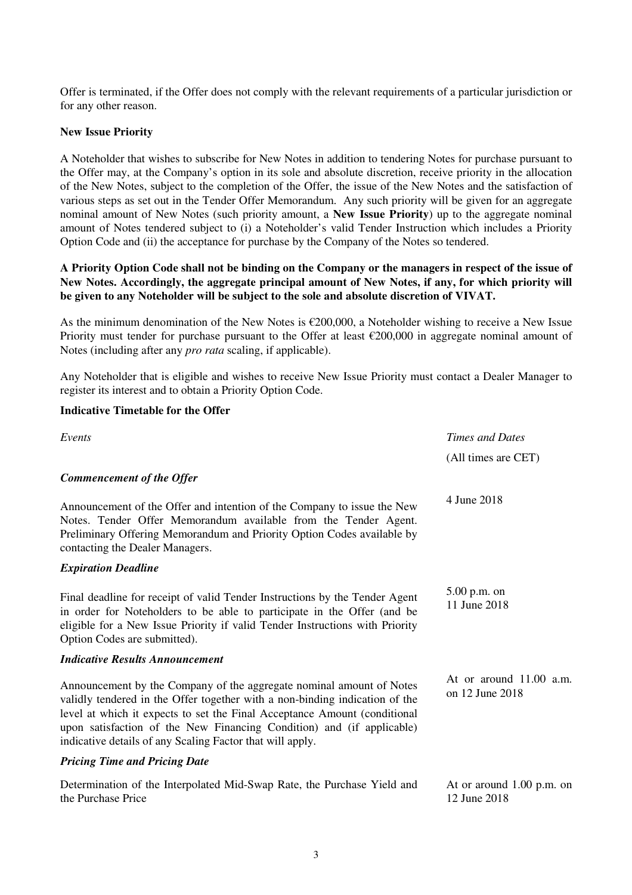Offer is terminated, if the Offer does not comply with the relevant requirements of a particular jurisdiction or for any other reason.

# **New Issue Priority**

A Noteholder that wishes to subscribe for New Notes in addition to tendering Notes for purchase pursuant to the Offer may, at the Company's option in its sole and absolute discretion, receive priority in the allocation of the New Notes, subject to the completion of the Offer, the issue of the New Notes and the satisfaction of various steps as set out in the Tender Offer Memorandum. Any such priority will be given for an aggregate nominal amount of New Notes (such priority amount, a **New Issue Priority**) up to the aggregate nominal amount of Notes tendered subject to (i) a Noteholder's valid Tender Instruction which includes a Priority Option Code and (ii) the acceptance for purchase by the Company of the Notes so tendered.

# **A Priority Option Code shall not be binding on the Company or the managers in respect of the issue of New Notes. Accordingly, the aggregate principal amount of New Notes, if any, for which priority will be given to any Noteholder will be subject to the sole and absolute discretion of VIVAT.**

As the minimum denomination of the New Notes is  $\epsilon$ 200,000, a Noteholder wishing to receive a New Issue Priority must tender for purchase pursuant to the Offer at least  $\epsilon$ 200,000 in aggregate nominal amount of Notes (including after any *pro rata* scaling, if applicable).

Any Noteholder that is eligible and wishes to receive New Issue Priority must contact a Dealer Manager to register its interest and to obtain a Priority Option Code.

### **Indicative Timetable for the Offer**

| Events                                                                                                                                                                                                                                                                                                                                                                 | Times and Dates                              |  |
|------------------------------------------------------------------------------------------------------------------------------------------------------------------------------------------------------------------------------------------------------------------------------------------------------------------------------------------------------------------------|----------------------------------------------|--|
|                                                                                                                                                                                                                                                                                                                                                                        | (All times are CET)                          |  |
| <b>Commencement of the Offer</b>                                                                                                                                                                                                                                                                                                                                       |                                              |  |
| Announcement of the Offer and intention of the Company to issue the New<br>Notes. Tender Offer Memorandum available from the Tender Agent.<br>Preliminary Offering Memorandum and Priority Option Codes available by<br>contacting the Dealer Managers.                                                                                                                | 4 June 2018                                  |  |
| <b>Expiration Deadline</b>                                                                                                                                                                                                                                                                                                                                             |                                              |  |
| Final deadline for receipt of valid Tender Instructions by the Tender Agent<br>in order for Noteholders to be able to participate in the Offer (and be<br>eligible for a New Issue Priority if valid Tender Instructions with Priority<br>Option Codes are submitted).                                                                                                 | $5.00$ p.m. on<br>11 June 2018               |  |
| <b>Indicative Results Announcement</b>                                                                                                                                                                                                                                                                                                                                 |                                              |  |
| Announcement by the Company of the aggregate nominal amount of Notes<br>validly tendered in the Offer together with a non-binding indication of the<br>level at which it expects to set the Final Acceptance Amount (conditional<br>upon satisfaction of the New Financing Condition) and (if applicable)<br>indicative details of any Scaling Factor that will apply. | At or around $11.00$ a.m.<br>on 12 June 2018 |  |
| <b>Pricing Time and Pricing Date</b>                                                                                                                                                                                                                                                                                                                                   |                                              |  |
| Determination of the Interpolated Mid-Swap Rate, the Purchase Yield and<br>the Purchase Price                                                                                                                                                                                                                                                                          | At or around $1.00$ p.m. on<br>12 June 2018  |  |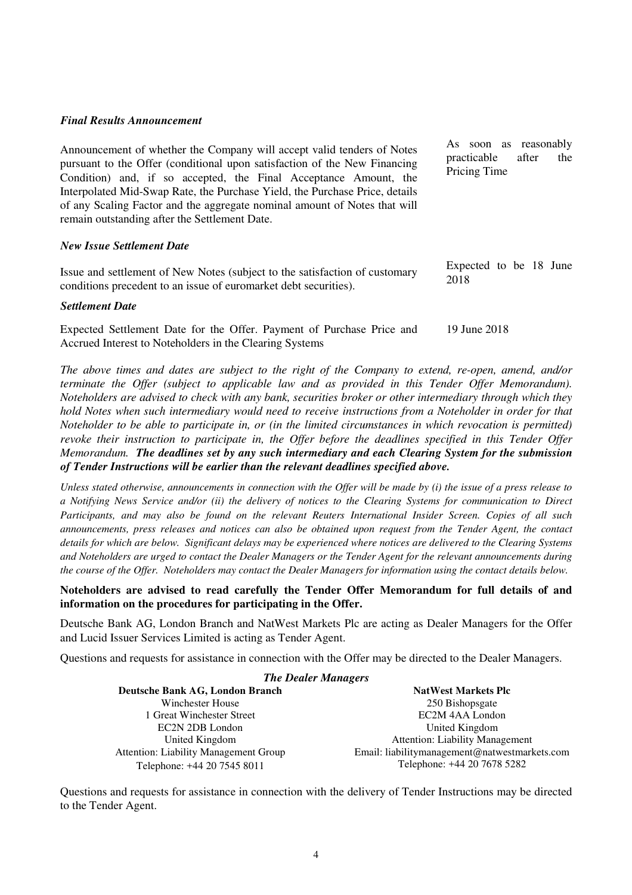### *Final Results Announcement*

Announcement of whether the Company will accept valid tenders of Notes pursuant to the Offer (conditional upon satisfaction of the New Financing Condition) and, if so accepted, the Final Acceptance Amount, the Interpolated Mid-Swap Rate, the Purchase Yield, the Purchase Price, details of any Scaling Factor and the aggregate nominal amount of Notes that will remain outstanding after the Settlement Date.

# *New Issue Settlement Date*

| Issue and settlement of New Notes (subject to the satisfaction of customary | Expected to be 18 June |
|-----------------------------------------------------------------------------|------------------------|
| conditions precedent to an issue of euromarket debt securities).            | 2018                   |

 As soon as reasonably practicable after the

Pricing Time

### *Settlement Date*

Expected Settlement Date for the Offer. Payment of Purchase Price and Accrued Interest to Noteholders in the Clearing Systems 19 June 2018

*The above times and dates are subject to the right of the Company to extend, re-open, amend, and/or terminate the Offer (subject to applicable law and as provided in this Tender Offer Memorandum). Noteholders are advised to check with any bank, securities broker or other intermediary through which they hold Notes when such intermediary would need to receive instructions from a Noteholder in order for that Noteholder to be able to participate in, or (in the limited circumstances in which revocation is permitted) revoke their instruction to participate in, the Offer before the deadlines specified in this Tender Offer Memorandum. The deadlines set by any such intermediary and each Clearing System for the submission of Tender Instructions will be earlier than the relevant deadlines specified above.*

*Unless stated otherwise, announcements in connection with the Offer will be made by (i) the issue of a press release to a Notifying News Service and/or (ii) the delivery of notices to the Clearing Systems for communication to Direct Participants, and may also be found on the relevant Reuters International Insider Screen. Copies of all such announcements, press releases and notices can also be obtained upon request from the Tender Agent, the contact details for which are below. Significant delays may be experienced where notices are delivered to the Clearing Systems and Noteholders are urged to contact the Dealer Managers or the Tender Agent for the relevant announcements during the course of the Offer. Noteholders may contact the Dealer Managers for information using the contact details below.* 

**Noteholders are advised to read carefully the Tender Offer Memorandum for full details of and information on the procedures for participating in the Offer.** 

Deutsche Bank AG, London Branch and NatWest Markets Plc are acting as Dealer Managers for the Offer and Lucid Issuer Services Limited is acting as Tender Agent.

Questions and requests for assistance in connection with the Offer may be directed to the Dealer Managers.

| <b>The Dealer Managers</b>                   |                                               |  |  |  |  |
|----------------------------------------------|-----------------------------------------------|--|--|--|--|
| Deutsche Bank AG, London Branch              | <b>NatWest Markets Plc</b>                    |  |  |  |  |
| Winchester House                             | 250 Bishopsgate                               |  |  |  |  |
| 1 Great Winchester Street                    | EC2M 4AA London                               |  |  |  |  |
| EC2N 2DB London                              | United Kingdom                                |  |  |  |  |
| United Kingdom                               | <b>Attention: Liability Management</b>        |  |  |  |  |
| <b>Attention: Liability Management Group</b> | Email: liabilitymanagement@natwestmarkets.com |  |  |  |  |
| Telephone: +44 20 7545 8011                  | Telephone: +44 20 7678 5282                   |  |  |  |  |

Questions and requests for assistance in connection with the delivery of Tender Instructions may be directed to the Tender Agent.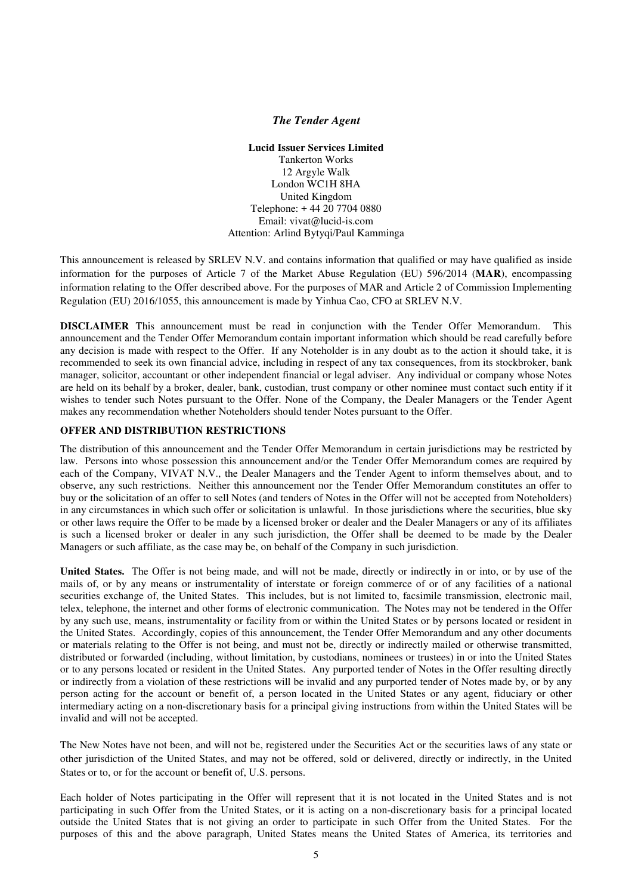#### *The Tender Agent*

**Lucid Issuer Services Limited**  Tankerton Works 12 Argyle Walk London WC1H 8HA United Kingdom Telephone: + 44 20 7704 0880 Email: vivat@lucid-is.com Attention: Arlind Bytyqi/Paul Kamminga

This announcement is released by SRLEV N.V. and contains information that qualified or may have qualified as inside information for the purposes of Article 7 of the Market Abuse Regulation (EU) 596/2014 (**MAR**), encompassing information relating to the Offer described above. For the purposes of MAR and Article 2 of Commission Implementing Regulation (EU) 2016/1055, this announcement is made by Yinhua Cao, CFO at SRLEV N.V.

**DISCLAIMER** This announcement must be read in conjunction with the Tender Offer Memorandum. This announcement and the Tender Offer Memorandum contain important information which should be read carefully before any decision is made with respect to the Offer. If any Noteholder is in any doubt as to the action it should take, it is recommended to seek its own financial advice, including in respect of any tax consequences, from its stockbroker, bank manager, solicitor, accountant or other independent financial or legal adviser. Any individual or company whose Notes are held on its behalf by a broker, dealer, bank, custodian, trust company or other nominee must contact such entity if it wishes to tender such Notes pursuant to the Offer. None of the Company, the Dealer Managers or the Tender Agent makes any recommendation whether Noteholders should tender Notes pursuant to the Offer.

#### **OFFER AND DISTRIBUTION RESTRICTIONS**

The distribution of this announcement and the Tender Offer Memorandum in certain jurisdictions may be restricted by law. Persons into whose possession this announcement and/or the Tender Offer Memorandum comes are required by each of the Company, VIVAT N.V., the Dealer Managers and the Tender Agent to inform themselves about, and to observe, any such restrictions. Neither this announcement nor the Tender Offer Memorandum constitutes an offer to buy or the solicitation of an offer to sell Notes (and tenders of Notes in the Offer will not be accepted from Noteholders) in any circumstances in which such offer or solicitation is unlawful. In those jurisdictions where the securities, blue sky or other laws require the Offer to be made by a licensed broker or dealer and the Dealer Managers or any of its affiliates is such a licensed broker or dealer in any such jurisdiction, the Offer shall be deemed to be made by the Dealer Managers or such affiliate, as the case may be, on behalf of the Company in such jurisdiction.

**United States.** The Offer is not being made, and will not be made, directly or indirectly in or into, or by use of the mails of, or by any means or instrumentality of interstate or foreign commerce of or of any facilities of a national securities exchange of, the United States. This includes, but is not limited to, facsimile transmission, electronic mail, telex, telephone, the internet and other forms of electronic communication. The Notes may not be tendered in the Offer by any such use, means, instrumentality or facility from or within the United States or by persons located or resident in the United States. Accordingly, copies of this announcement, the Tender Offer Memorandum and any other documents or materials relating to the Offer is not being, and must not be, directly or indirectly mailed or otherwise transmitted, distributed or forwarded (including, without limitation, by custodians, nominees or trustees) in or into the United States or to any persons located or resident in the United States. Any purported tender of Notes in the Offer resulting directly or indirectly from a violation of these restrictions will be invalid and any purported tender of Notes made by, or by any person acting for the account or benefit of, a person located in the United States or any agent, fiduciary or other intermediary acting on a non-discretionary basis for a principal giving instructions from within the United States will be invalid and will not be accepted.

The New Notes have not been, and will not be, registered under the Securities Act or the securities laws of any state or other jurisdiction of the United States, and may not be offered, sold or delivered, directly or indirectly, in the United States or to, or for the account or benefit of, U.S. persons.

Each holder of Notes participating in the Offer will represent that it is not located in the United States and is not participating in such Offer from the United States, or it is acting on a non-discretionary basis for a principal located outside the United States that is not giving an order to participate in such Offer from the United States. For the purposes of this and the above paragraph, United States means the United States of America, its territories and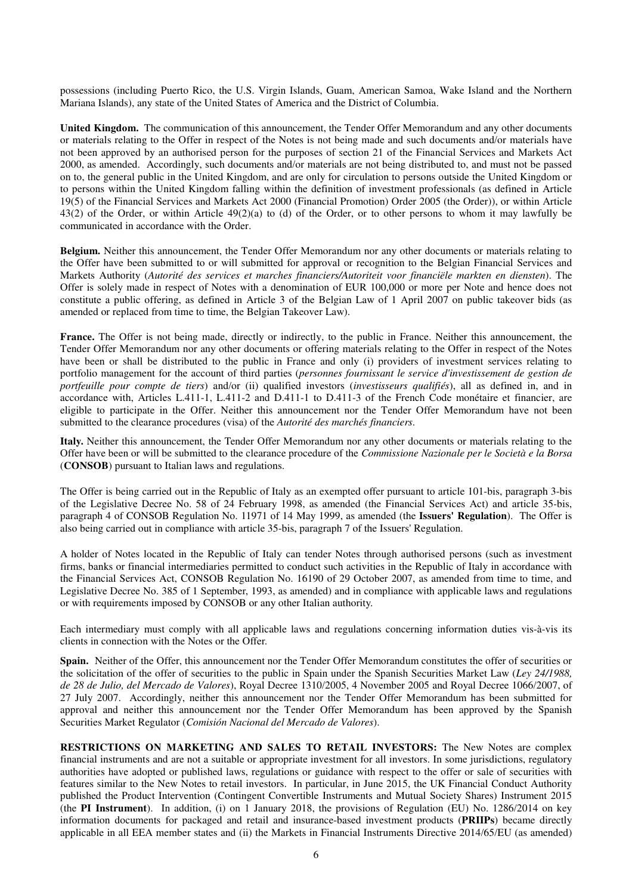possessions (including Puerto Rico, the U.S. Virgin Islands, Guam, American Samoa, Wake Island and the Northern Mariana Islands), any state of the United States of America and the District of Columbia.

**United Kingdom.** The communication of this announcement, the Tender Offer Memorandum and any other documents or materials relating to the Offer in respect of the Notes is not being made and such documents and/or materials have not been approved by an authorised person for the purposes of section 21 of the Financial Services and Markets Act 2000, as amended. Accordingly, such documents and/or materials are not being distributed to, and must not be passed on to, the general public in the United Kingdom, and are only for circulation to persons outside the United Kingdom or to persons within the United Kingdom falling within the definition of investment professionals (as defined in Article 19(5) of the Financial Services and Markets Act 2000 (Financial Promotion) Order 2005 (the Order)), or within Article 43(2) of the Order, or within Article 49(2)(a) to (d) of the Order, or to other persons to whom it may lawfully be communicated in accordance with the Order.

**Belgium.** Neither this announcement, the Tender Offer Memorandum nor any other documents or materials relating to the Offer have been submitted to or will submitted for approval or recognition to the Belgian Financial Services and Markets Authority (*Autorité des services et marches financiers/Autoriteit voor financiële markten en diensten*). The Offer is solely made in respect of Notes with a denomination of EUR 100,000 or more per Note and hence does not constitute a public offering, as defined in Article 3 of the Belgian Law of 1 April 2007 on public takeover bids (as amended or replaced from time to time, the Belgian Takeover Law).

**France.** The Offer is not being made, directly or indirectly, to the public in France. Neither this announcement, the Tender Offer Memorandum nor any other documents or offering materials relating to the Offer in respect of the Notes have been or shall be distributed to the public in France and only (i) providers of investment services relating to portfolio management for the account of third parties (*personnes fournissant le service d'investissement de gestion de portfeuille pour compte de tiers*) and/or (ii) qualified investors (*investisseurs qualifiés*), all as defined in, and in accordance with, Articles L.411-1, L.411-2 and D.411-1 to D.411-3 of the French Code monétaire et financier, are eligible to participate in the Offer. Neither this announcement nor the Tender Offer Memorandum have not been submitted to the clearance procedures (visa) of the *Autorité des marchés financiers*.

**Italy.** Neither this announcement, the Tender Offer Memorandum nor any other documents or materials relating to the Offer have been or will be submitted to the clearance procedure of the *Commissione Nazionale per le Società e la Borsa* (**CONSOB**) pursuant to Italian laws and regulations.

The Offer is being carried out in the Republic of Italy as an exempted offer pursuant to article 101-bis, paragraph 3-bis of the Legislative Decree No. 58 of 24 February 1998, as amended (the Financial Services Act) and article 35-bis, paragraph 4 of CONSOB Regulation No. 11971 of 14 May 1999, as amended (the **Issuers' Regulation**). The Offer is also being carried out in compliance with article 35-bis, paragraph 7 of the Issuers' Regulation.

A holder of Notes located in the Republic of Italy can tender Notes through authorised persons (such as investment firms, banks or financial intermediaries permitted to conduct such activities in the Republic of Italy in accordance with the Financial Services Act, CONSOB Regulation No. 16190 of 29 October 2007, as amended from time to time, and Legislative Decree No. 385 of 1 September, 1993, as amended) and in compliance with applicable laws and regulations or with requirements imposed by CONSOB or any other Italian authority.

Each intermediary must comply with all applicable laws and regulations concerning information duties vis-à-vis its clients in connection with the Notes or the Offer.

**Spain.** Neither of the Offer, this announcement nor the Tender Offer Memorandum constitutes the offer of securities or the solicitation of the offer of securities to the public in Spain under the Spanish Securities Market Law (*Ley 24/1988, de 28 de Julio, del Mercado de Valores*), Royal Decree 1310/2005, 4 November 2005 and Royal Decree 1066/2007, of 27 July 2007. Accordingly, neither this announcement nor the Tender Offer Memorandum has been submitted for approval and neither this announcement nor the Tender Offer Memorandum has been approved by the Spanish Securities Market Regulator (*Comisión Nacional del Mercado de Valores*).

**RESTRICTIONS ON MARKETING AND SALES TO RETAIL INVESTORS:** The New Notes are complex financial instruments and are not a suitable or appropriate investment for all investors. In some jurisdictions, regulatory authorities have adopted or published laws, regulations or guidance with respect to the offer or sale of securities with features similar to the New Notes to retail investors. In particular, in June 2015, the UK Financial Conduct Authority published the Product Intervention (Contingent Convertible Instruments and Mutual Society Shares) Instrument 2015 (the **PI Instrument**). In addition, (i) on 1 January 2018, the provisions of Regulation (EU) No. 1286/2014 on key information documents for packaged and retail and insurance-based investment products (**PRIIPs**) became directly applicable in all EEA member states and (ii) the Markets in Financial Instruments Directive 2014/65/EU (as amended)